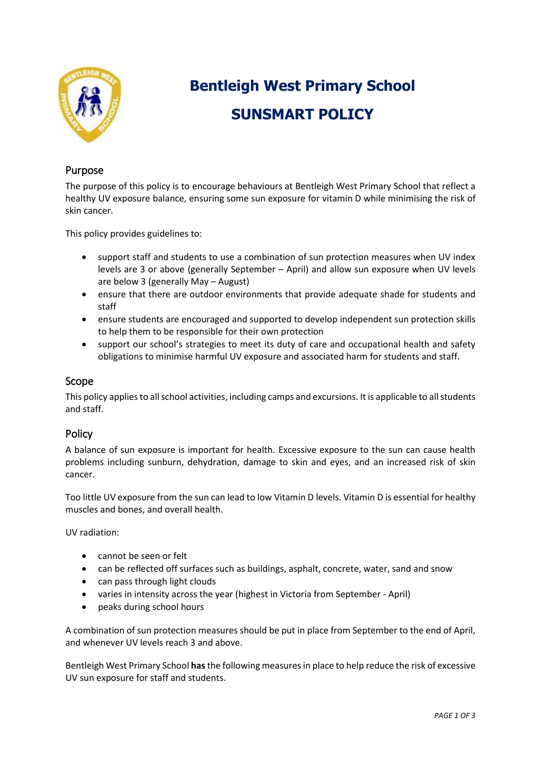

# **Bentleigh West Primary School SUNSMART POLICY**

# Purpose

The purpose of this policy is to encourage behaviours at Bentleigh West Primary School that reflect a healthy UV exposure balance, ensuring some sun exposure for vitamin D while minimising the risk of skin cancer.

This policy provides guidelines to:

- support staff and students to use a combination of sun protection measures when UV index levels are 3 or above (generally September – April) and allow sun exposure when UV levels are below 3 (generally May – August)
- ensure that there are outdoor environments that provide adequate shade for students and staff
- ensure students are encouraged and supported to develop independent sun protection skills to help them to be responsible for their own protection
- support our school's strategies to meet its duty of care and occupational health and safety obligations to minimise harmful UV exposure and associated harm for students and staff.

## Scope

This policy applies to all school activities, including camps and excursions. It is applicable to all students and staff.

## Policy

A balance of sun exposure is important for health. Excessive exposure to the sun can cause health problems including sunburn, dehydration, damage to skin and eyes, and an increased risk of skin cancer.

Too little UV exposure from the sun can lead to low Vitamin D levels. Vitamin D is essential for healthy muscles and bones, and overall health.

UV radiation:

- cannot be seen or felt
- can be reflected off surfaces such as buildings, asphalt, concrete, water, sand and snow
- can pass through light clouds
- varies in intensity across the year (highest in Victoria from September April)
- peaks during school hours

A combination of sun protection measures should be put in place from September to the end of April, and whenever UV levels reach 3 and above.

Bentleigh West Primary School **has** the following measures in place to help reduce the risk of excessive UV sun exposure for staff and students.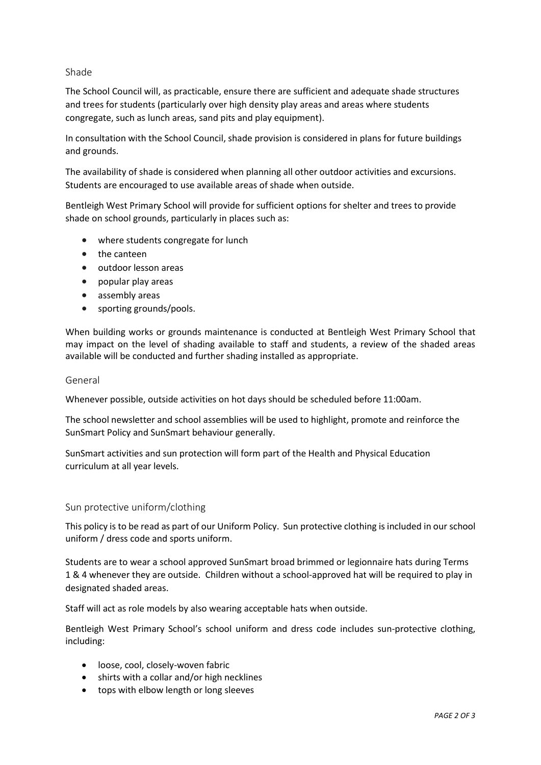## Shade

The School Council will, as practicable, ensure there are sufficient and adequate shade structures and trees for students (particularly over high density play areas and areas where students congregate, such as lunch areas, sand pits and play equipment).

In consultation with the School Council, shade provision is considered in plans for future buildings and grounds.

The availability of shade is considered when planning all other outdoor activities and excursions. Students are encouraged to use available areas of shade when outside.

Bentleigh West Primary School will provide for sufficient options for shelter and trees to provide shade on school grounds, particularly in places such as:

- where students congregate for lunch
- the canteen
- outdoor lesson areas
- popular play areas
- assembly areas
- sporting grounds/pools.

When building works or grounds maintenance is conducted at Bentleigh West Primary School that may impact on the level of shading available to staff and students, a review of the shaded areas available will be conducted and further shading installed as appropriate.

#### General

Whenever possible, outside activities on hot days should be scheduled before 11:00am.

The school newsletter and school assemblies will be used to highlight, promote and reinforce the SunSmart Policy and SunSmart behaviour generally.

SunSmart activities and sun protection will form part of the Health and Physical Education curriculum at all year levels.

#### Sun protective uniform/clothing

This policy is to be read as part of our Uniform Policy. Sun protective clothing is included in our school uniform / dress code and sports uniform.

Students are to wear a school approved SunSmart broad brimmed or legionnaire hats during Terms 1 & 4 whenever they are outside. Children without a school-approved hat will be required to play in designated shaded areas.

Staff will act as role models by also wearing acceptable hats when outside.

Bentleigh West Primary School's school uniform and dress code includes sun-protective clothing, including:

- loose, cool, closely-woven fabric
- shirts with a collar and/or high necklines
- tops with elbow length or long sleeves